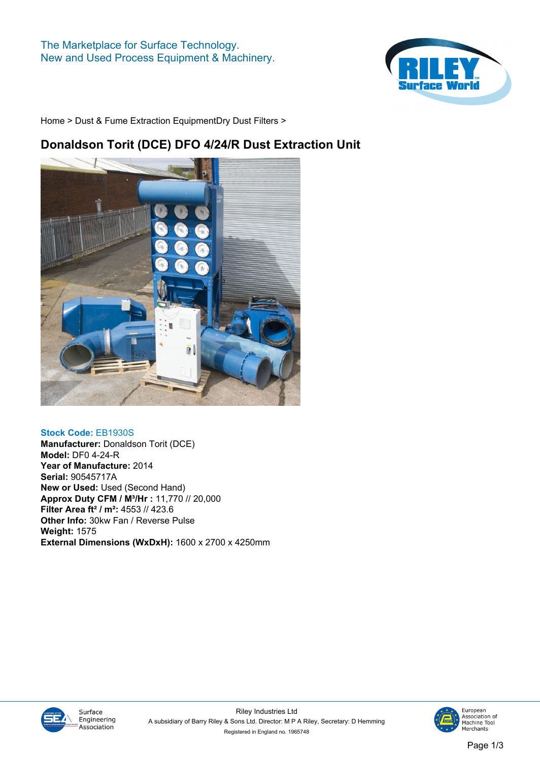

**[Home](https://www.rileysurfaceworld.co.uk) > [Dust & Fume Extraction Equipment](https://www.rileysurfaceworld.co.uk/dust-fume.asp)[Dry Dust Filters](https://www.rileysurfaceworld.co.uk/dust-dry.asp) >**

### **Donaldson Torit (DCE) DFO 4/24/R Dust Extraction Unit**



**Stock Code: EB1930S Manufacturer: Donaldson Torit (DCE) Model: DF0 4-24-R Year of Manufacture: 2014 Serial: 90545717A New or Used: Used (Second Hand) Approx Duty CFM / M³/Hr : 11,770 // 20,000 Filter Area ft² / m²: 4553 // 423.6 Other Info: 30kw Fan / Reverse Pulse Weight: 1575 External Dimensions (WxDxH): 1600 x 2700 x 4250mm**



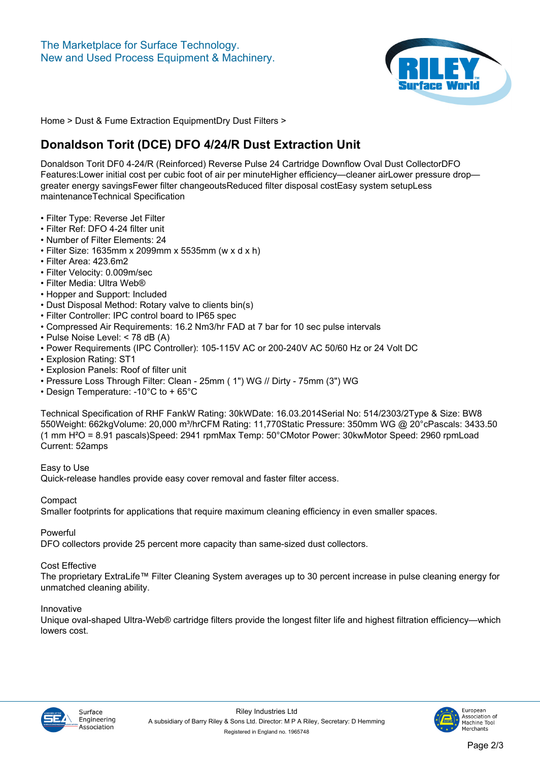

**[Home](https://www.rileysurfaceworld.co.uk) > [Dust & Fume Extraction Equipment](https://www.rileysurfaceworld.co.uk/dust-fume.asp)[Dry Dust Filters](https://www.rileysurfaceworld.co.uk/dust-dry.asp) >**

# **Donaldson Torit (DCE) DFO 4/24/R Dust Extraction Unit**

**Donaldson Torit DF0 4-24/R (Reinforced) Reverse Pulse 24 Cartridge Downflow Oval Dust CollectorDFO Features:Lower initial cost per cubic foot of air per minuteHigher efficiency—cleaner airLower pressure drop greater energy savingsFewer filter changeoutsReduced filter disposal costEasy system setupLess maintenanceTechnical Specification**

- **Filter Type: Reverse Jet Filter**
- **Filter Ref: DFO 4-24 filter unit**
- **Number of Filter Elements: 24**
- **Filter Size: 1635mm x 2099mm x 5535mm (w x d x h)**
- **Filter Area: 423.6m2**
- **Filter Velocity: 0.009m/sec**
- **Filter Media: Ultra Web®**
- **Hopper and Support: Included**
- **Dust Disposal Method: Rotary valve to clients bin(s)**
- **Filter Controller: IPC control board to IP65 spec**
- **Compressed Air Requirements: 16.2 Nm3/hr FAD at 7 bar for 10 sec pulse intervals**
- **Pulse Noise Level: < 78 dB (A)**
- **Power Requirements (IPC Controller): 105-115V AC or 200-240V AC 50/60 Hz or 24 Volt DC**
- **Explosion Rating: ST1**
- **Explosion Panels: Roof of filter unit**
- **Pressure Loss Through Filter: Clean 25mm ( 1") WG // Dirty 75mm (3") WG**
- **Design Temperature: -10°C to + 65°C**

**Technical Specification of RHF FankW Rating: 30kWDate: 16.03.2014Serial No: 514/2303/2Type & Size: BW8 550Weight: 662kgVolume: 20,000 m³/hrCFM Rating: 11,770Static Pressure: 350mm WG @ 20°cPascals: 3433.50 (1 mm H²O = 8.91 pascals)Speed: 2941 rpmMax Temp: 50°CMotor Power: 30kwMotor Speed: 2960 rpmLoad Current: 52amps**

**Easy to Use Quick-release handles provide easy cover removal and faster filter access.**

**Compact**

**Smaller footprints for applications that require maximum cleaning efficiency in even smaller spaces.**

**Powerful**

**DFO collectors provide 25 percent more capacity than same-sized dust collectors.**

### **Cost Effective**

**The proprietary ExtraLife™ Filter Cleaning System averages up to 30 percent increase in pulse cleaning energy for unmatched cleaning ability.**

#### **Innovative**

**Unique oval-shaped Ultra-Web® cartridge filters provide the longest filter life and highest filtration efficiency—which lowers cost.**